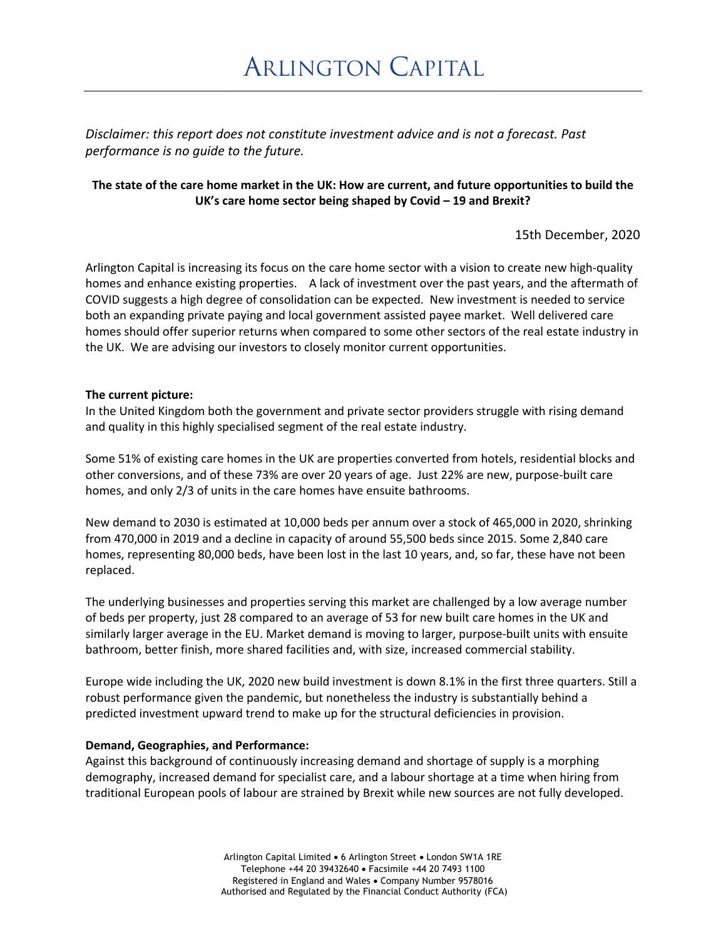*Disclaimer: this report does not constitute investment advice and is not a forecast. Past performance is no guide to the future.*

## **The state of the care home market in the UK: How are current, and future opportunities to build the UK's care home sector being shaped by Covid – 19 and Brexit?**

15th December, 2020

Arlington Capital is increasing its focus on the care home sector with a vision to create new high-quality homes and enhance existing properties. A lack of investment over the past years, and the aftermath of COVID suggests a high degree of consolidation can be expected. New investment is needed to service both an expanding private paying and local government assisted payee market. Well delivered care homes should offer superior returns when compared to some other sectors of the real estate industry in the UK. We are advising our investors to closely monitor current opportunities.

#### **The current picture:**

In the United Kingdom both the government and private sector providers struggle with rising demand and quality in this highly specialised segment of the real estate industry.

Some 51% of existing care homes in the UK are properties converted from hotels, residential blocks and other conversions, and of these 73% are over 20 years of age. Just 22% are new, purpose-built care homes, and only 2/3 of units in the care homes have ensuite bathrooms.

New demand to 2030 is estimated at 10,000 beds per annum over a stock of 465,000 in 2020, shrinking from 470,000 in 2019 and a decline in capacity of around 55,500 beds since 2015. Some 2,840 care homes, representing 80,000 beds, have been lost in the last 10 years, and, so far, these have not been replaced.

The underlying businesses and properties serving this market are challenged by a low average number of beds per property, just 28 compared to an average of 53 for new built care homes in the UK and similarly larger average in the EU. Market demand is moving to larger, purpose-built units with ensuite bathroom, better finish, more shared facilities and, with size, increased commercial stability.

Europe wide including the UK, 2020 new build investment is down 8.1% in the first three quarters. Still a robust performance given the pandemic, but nonetheless the industry is substantially behind a predicted investment upward trend to make up for the structural deficiencies in provision.

### **Demand, Geographies, and Performance:**

Against this background of continuously increasing demand and shortage of supply is a morphing demography, increased demand for specialist care, and a labour shortage at a time when hiring from traditional European pools of labour are strained by Brexit while new sources are not fully developed.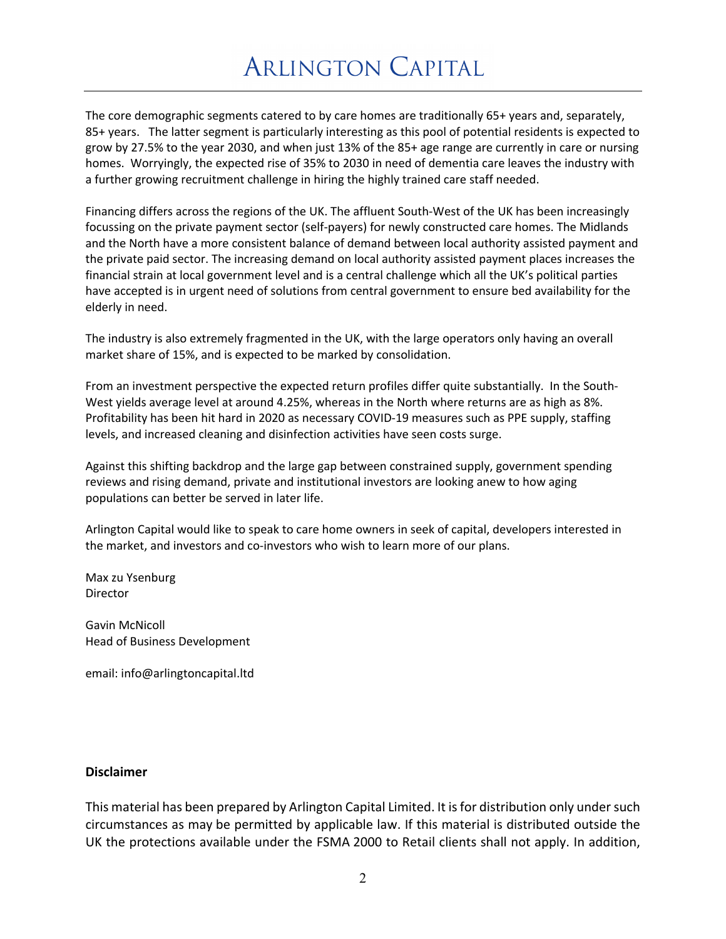# **ARLINGTON CAPITAL**

The core demographic segments catered to by care homes are traditionally 65+ years and, separately, 85+ years. The latter segment is particularly interesting as this pool of potential residents is expected to grow by 27.5% to the year 2030, and when just 13% of the 85+ age range are currently in care or nursing homes. Worryingly, the expected rise of 35% to 2030 in need of dementia care leaves the industry with a further growing recruitment challenge in hiring the highly trained care staff needed.

Financing differs across the regions of the UK. The affluent South-West of the UK has been increasingly focussing on the private payment sector (self-payers) for newly constructed care homes. The Midlands and the North have a more consistent balance of demand between local authority assisted payment and the private paid sector. The increasing demand on local authority assisted payment places increases the financial strain at local government level and is a central challenge which all the UK's political parties have accepted is in urgent need of solutions from central government to ensure bed availability for the elderly in need.

The industry is also extremely fragmented in the UK, with the large operators only having an overall market share of 15%, and is expected to be marked by consolidation.

From an investment perspective the expected return profiles differ quite substantially. In the South-West yields average level at around 4.25%, whereas in the North where returns are as high as 8%. Profitability has been hit hard in 2020 as necessary COVID-19 measures such as PPE supply, staffing levels, and increased cleaning and disinfection activities have seen costs surge.

Against this shifting backdrop and the large gap between constrained supply, government spending reviews and rising demand, private and institutional investors are looking anew to how aging populations can better be served in later life.

Arlington Capital would like to speak to care home owners in seek of capital, developers interested in the market, and investors and co-investors who wish to learn more of our plans.

Max zu Ysenburg Director

Gavin McNicoll Head of Business Development

email: info@arlingtoncapital.ltd

## **Disclaimer**

This material has been prepared by Arlington Capital Limited. It is for distribution only under such circumstances as may be permitted by applicable law. If this material is distributed outside the UK the protections available under the FSMA 2000 to Retail clients shall not apply. In addition,